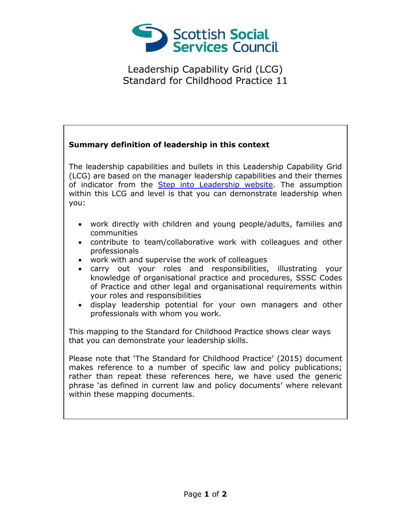

Leadership Capability Grid (LCG) Standard for Childhood Practice 11

## **Summary definition of leadership in this context** The leadership capabilities and bullets in this Leadership Capability Grid (LCG) are based on the manager leadership capabilities and their themes of indicator from the [Step into Leadership website.](http://www.stepintoleadership.info/) The assumption within this LCG and level is that you can demonstrate leadership when you: work directly with children and young people/adults, families and communities contribute to team/collaborative work with colleagues and other professionals work with and supervise the work of colleagues carry out your roles and responsibilities, illustrating your knowledge of organisational practice and procedures, SSSC Codes of Practice and other legal and organisational requirements within your roles and responsibilities display leadership potential for your own managers and other professionals with whom you work. This mapping to the Standard for Childhood Practice shows clear ways that you can demonstrate your leadership skills. Please note that 'The Standard for Childhood Practice' (2015) document makes reference to a number of specific law and policy publications; rather than repeat these references here, we have used the generic phrase 'as defined in current law and policy documents' where relevant within these mapping documents.